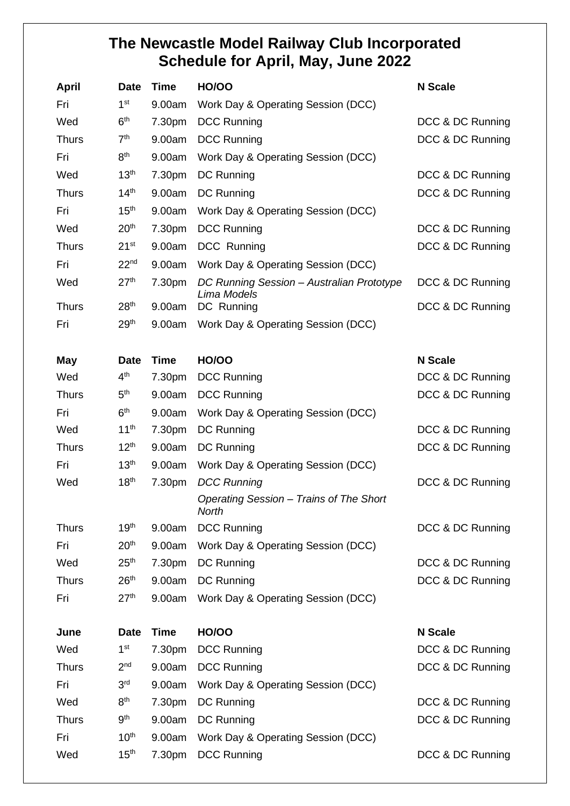## **The Newcastle Model Railway Club Incorporated Schedule for April, May, June 2022**

| <b>April</b> | <b>Date</b>      | <b>Time</b> | <b>HO/OO</b>                                             | <b>N</b> Scale   |
|--------------|------------------|-------------|----------------------------------------------------------|------------------|
| Fri          | 1 <sup>st</sup>  | 9.00am      | Work Day & Operating Session (DCC)                       |                  |
| Wed          | 6 <sup>th</sup>  | 7.30pm      | <b>DCC Running</b>                                       | DCC & DC Running |
| <b>Thurs</b> | 7 <sup>th</sup>  | 9.00am      | <b>DCC Running</b>                                       | DCC & DC Running |
| Fri          | 8 <sup>th</sup>  | 9.00am      | Work Day & Operating Session (DCC)                       |                  |
| Wed          | 13 <sup>th</sup> | 7.30pm      | DC Running                                               | DCC & DC Running |
| <b>Thurs</b> | 14 <sup>th</sup> | 9.00am      | DC Running                                               | DCC & DC Running |
| Fri          | 15 <sup>th</sup> | 9.00am      | Work Day & Operating Session (DCC)                       |                  |
| Wed          | 20 <sup>th</sup> | 7.30pm      | <b>DCC Running</b>                                       | DCC & DC Running |
| <b>Thurs</b> | $21^{st}$        | 9.00am      | DCC Running                                              | DCC & DC Running |
| Fri          | 22 <sup>nd</sup> | 9.00am      | Work Day & Operating Session (DCC)                       |                  |
| Wed          | 27 <sup>th</sup> | 7.30pm      | DC Running Session - Australian Prototype<br>Lima Models | DCC & DC Running |
| <b>Thurs</b> | 28 <sup>th</sup> | 9.00am      | DC Running                                               | DCC & DC Running |
| Fri          | 29 <sup>th</sup> | 9.00am      | Work Day & Operating Session (DCC)                       |                  |
| <b>May</b>   | <b>Date</b>      | <b>Time</b> | <b>HO/OO</b>                                             | <b>N</b> Scale   |
| Wed          | 4 <sup>th</sup>  | 7.30pm      | <b>DCC Running</b>                                       | DCC & DC Running |
| <b>Thurs</b> | 5 <sup>th</sup>  | 9.00am      | <b>DCC Running</b>                                       | DCC & DC Running |
| Fri          | 6 <sup>th</sup>  | 9.00am      | Work Day & Operating Session (DCC)                       |                  |
| Wed          | 11 <sup>th</sup> | 7.30pm      | DC Running                                               | DCC & DC Running |
| <b>Thurs</b> | 12 <sup>th</sup> | 9.00am      | DC Running                                               | DCC & DC Running |
| Fri          | 13 <sup>th</sup> | 9.00am      | Work Day & Operating Session (DCC)                       |                  |
| Wed          | 18 <sup>th</sup> | 7.30pm      | <b>DCC Running</b>                                       | DCC & DC Running |
|              |                  |             | Operating Session - Trains of The Short<br><b>North</b>  |                  |
| <b>Thurs</b> | 19 <sup>th</sup> | 9.00am      | <b>DCC Running</b>                                       | DCC & DC Running |
| Fri          | 20 <sup>th</sup> | 9.00am      | Work Day & Operating Session (DCC)                       |                  |
| Wed          | 25 <sup>th</sup> | 7.30pm      | DC Running                                               | DCC & DC Running |
| <b>Thurs</b> | 26 <sup>th</sup> | 9.00am      | DC Running                                               | DCC & DC Running |
| Fri          | 27 <sup>th</sup> | 9.00am      | Work Day & Operating Session (DCC)                       |                  |
| June         | <b>Date</b>      | <b>Time</b> | <b>HO/OO</b>                                             | <b>N</b> Scale   |
| Wed          | 1 <sup>st</sup>  | 7.30pm      | <b>DCC Running</b>                                       | DCC & DC Running |
| <b>Thurs</b> | 2 <sub>nd</sub>  | 9.00am      | <b>DCC Running</b>                                       | DCC & DC Running |
| Fri          | 3 <sup>rd</sup>  | 9.00am      | Work Day & Operating Session (DCC)                       |                  |
| Wed          | 8 <sup>th</sup>  | 7.30pm      | DC Running                                               | DCC & DC Running |
| <b>Thurs</b> | 9 <sup>th</sup>  | 9.00am      | DC Running                                               | DCC & DC Running |
| Fri          | 10 <sup>th</sup> | 9.00am      | Work Day & Operating Session (DCC)                       |                  |
| Wed          | 15 <sup>th</sup> | 7.30pm      | <b>DCC Running</b>                                       | DCC & DC Running |